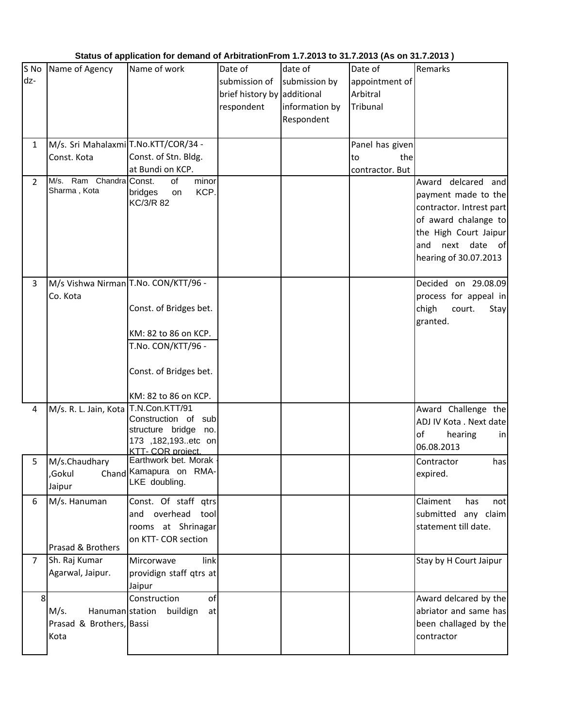| Status of application for demand of ArbitrationFrom 1.7.2013 to 31.7.2013 (As on 31.7.2013) |                                      |                                            |                             |                |                 |                          |  |  |  |  |
|---------------------------------------------------------------------------------------------|--------------------------------------|--------------------------------------------|-----------------------------|----------------|-----------------|--------------------------|--|--|--|--|
| S No                                                                                        | Name of Agency                       | Name of work                               | Date of                     | date of        | Date of         | Remarks                  |  |  |  |  |
| dz-                                                                                         |                                      |                                            | submission of               | submission by  | appointment of  |                          |  |  |  |  |
|                                                                                             |                                      |                                            | brief history by additional |                | Arbitral        |                          |  |  |  |  |
|                                                                                             |                                      |                                            | respondent                  | information by | Tribunal        |                          |  |  |  |  |
|                                                                                             |                                      |                                            |                             | Respondent     |                 |                          |  |  |  |  |
|                                                                                             |                                      |                                            |                             |                |                 |                          |  |  |  |  |
| $\mathbf{1}$                                                                                | M/s. Sri Mahalaxmi T.No.KTT/COR/34 - |                                            |                             |                | Panel has given |                          |  |  |  |  |
|                                                                                             | Const. Kota                          | Const. of Stn. Bldg.                       |                             |                | to<br>the       |                          |  |  |  |  |
|                                                                                             |                                      | at Bundi on KCP.                           |                             |                | contractor. But |                          |  |  |  |  |
| $\overline{2}$                                                                              | M/s. Ram Chandra Const.              | of<br>minor                                |                             |                |                 | Award delcared<br>and    |  |  |  |  |
|                                                                                             | Sharma, Kota                         | KCP.<br>bridges<br>on                      |                             |                |                 | payment made to the      |  |  |  |  |
|                                                                                             |                                      | KC/3/R 82                                  |                             |                |                 | contractor. Intrest part |  |  |  |  |
|                                                                                             |                                      |                                            |                             |                |                 | of award chalange to     |  |  |  |  |
|                                                                                             |                                      |                                            |                             |                |                 | the High Court Jaipur    |  |  |  |  |
|                                                                                             |                                      |                                            |                             |                |                 | next date of<br>and      |  |  |  |  |
|                                                                                             |                                      |                                            |                             |                |                 | hearing of 30.07.2013    |  |  |  |  |
|                                                                                             |                                      |                                            |                             |                |                 |                          |  |  |  |  |
| 3                                                                                           |                                      | M/s Vishwa Nirman T.No. CON/KTT/96 -       |                             |                |                 | Decided on 29.08.09      |  |  |  |  |
|                                                                                             | Co. Kota                             |                                            |                             |                |                 | process for appeal in    |  |  |  |  |
|                                                                                             |                                      | Const. of Bridges bet.                     |                             |                |                 | chigh<br>court.<br>Stay  |  |  |  |  |
|                                                                                             |                                      |                                            |                             |                |                 | granted.                 |  |  |  |  |
|                                                                                             |                                      | KM: 82 to 86 on KCP.                       |                             |                |                 |                          |  |  |  |  |
|                                                                                             |                                      | T.No. CON/KTT/96 -                         |                             |                |                 |                          |  |  |  |  |
|                                                                                             |                                      |                                            |                             |                |                 |                          |  |  |  |  |
|                                                                                             |                                      | Const. of Bridges bet.                     |                             |                |                 |                          |  |  |  |  |
|                                                                                             |                                      |                                            |                             |                |                 |                          |  |  |  |  |
|                                                                                             |                                      | KM: 82 to 86 on KCP.                       |                             |                |                 |                          |  |  |  |  |
| 4                                                                                           | M/s. R. L. Jain, Kota T.N.Con.KTT/91 |                                            |                             |                |                 | Award Challenge the      |  |  |  |  |
|                                                                                             |                                      | Construction of sub                        |                             |                |                 | ADJ IV Kota . Next date  |  |  |  |  |
|                                                                                             |                                      | structure bridge no.                       |                             |                |                 | of<br>hearing<br>in      |  |  |  |  |
|                                                                                             |                                      | 173, 182, 193. etc on<br>KTT- COR project. |                             |                |                 | 06.08.2013               |  |  |  |  |
| 5                                                                                           | M/s.Chaudhary                        | Earthwork bet, Morak                       |                             |                |                 | Contractor<br>has        |  |  |  |  |
|                                                                                             | ,Gokul                               | Chand Kamapura on RMA-                     |                             |                |                 | expired.                 |  |  |  |  |
|                                                                                             | Jaipur                               | LKE doubling.                              |                             |                |                 |                          |  |  |  |  |
| 6                                                                                           | M/s. Hanuman                         | Const. Of staff qtrs                       |                             |                |                 | Claiment<br>has<br>not   |  |  |  |  |
|                                                                                             |                                      | and overhead tool                          |                             |                |                 | submitted any claim      |  |  |  |  |
|                                                                                             |                                      | rooms at Shrinagar                         |                             |                |                 | statement till date.     |  |  |  |  |
|                                                                                             |                                      | on KTT- COR section                        |                             |                |                 |                          |  |  |  |  |
|                                                                                             | Prasad & Brothers                    |                                            |                             |                |                 |                          |  |  |  |  |
| $\overline{7}$                                                                              | Sh. Raj Kumar                        | Mircorwave<br>link                         |                             |                |                 | Stay by H Court Jaipur   |  |  |  |  |
|                                                                                             | Agarwal, Jaipur.                     | providign staff qtrs at                    |                             |                |                 |                          |  |  |  |  |
|                                                                                             |                                      | Jaipur                                     |                             |                |                 |                          |  |  |  |  |
| 8                                                                                           |                                      | Construction<br>of                         |                             |                |                 | Award delcared by the    |  |  |  |  |
|                                                                                             | M/s.                                 | Hanuman station buildign<br>at             |                             |                |                 | abriator and same has    |  |  |  |  |
|                                                                                             | Prasad & Brothers, Bassi             |                                            |                             |                |                 | been challaged by the    |  |  |  |  |
|                                                                                             | Kota                                 |                                            |                             |                |                 | contractor               |  |  |  |  |
|                                                                                             |                                      |                                            |                             |                |                 |                          |  |  |  |  |